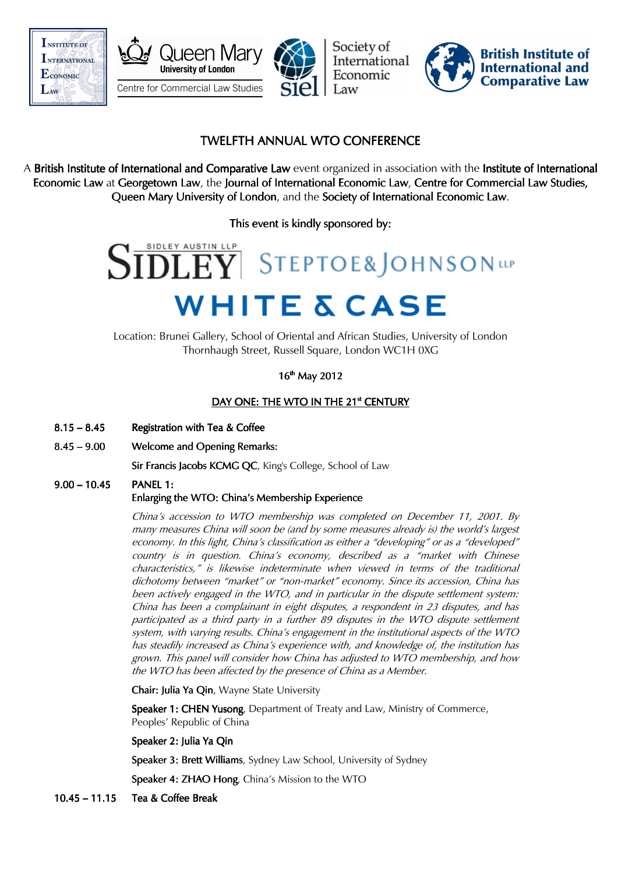







# TWELFTH ANNUAL WTO CONFERENCE

A British Institute of International and Comparative Law event organized in association with the Institute of International Economic Law at Georgetown Law, the Journal of International Economic Law, Centre for Commercial Law Studies, Queen Mary University of London, and the Society of International Economic Law.

This event is kindly sponsored by:

# **WHITE & CASE**

Location: Brunei Gallery, School of Oriental and African Studies, University of London Thornhaugh Street, Russell Square, London WC1H 0XG

16<sup>th</sup> May 2012

# DAY ONE: THE WTO IN THE 21<sup>st</sup> CENTURY

- $8.15 8.45$  Registration with Tea & Coffee
- 8.45 9.00 Welcome and Opening Remarks:

Sir Francis Jacobs KCMG QC, King's College, School of Law

# 9.00 – 10.45 PANEL 1: Enlarging the WTO: China's Membership Experience

China's accession to WTO membership was completed on December 11, 2001. By many measures China will soon be (and by some measures already is) the world's largest economy. In this light, China's classification as either a "developing" or as a "developed" country is in question. China's economy, described as a "market with Chinese characteristics," is likewise indeterminate when viewed in terms of the traditional dichotomy between "market" or "non-market" economy. Since its accession, China has been actively engaged in the WTO, and in particular in the dispute settlement system: China has been a complainant in eight disputes, a respondent in 23 disputes, and has participated as a third party in a further 89 disputes in the WTO dispute settlement system, with varying results. China's engagement in the institutional aspects of the WTO has steadily increased as China's experience with, and knowledge of, the institution has grown. This panel will consider how China has adjusted to WTO membership, and how the WTO has been affected by the presence of China as a Member.

Chair: Julia Ya Oin, Wayne State University

Speaker 1: CHEN Yusong, Department of Treaty and Law, Ministry of Commerce, Peoples' Republic of China

Speaker 2: Julia Ya Qin

Speaker 3: Brett Williams, Sydney Law School, University of Sydney

Speaker 4: ZHAO Hong, China's Mission to the WTO

10.45 – 11.15 Tea & Coffee Break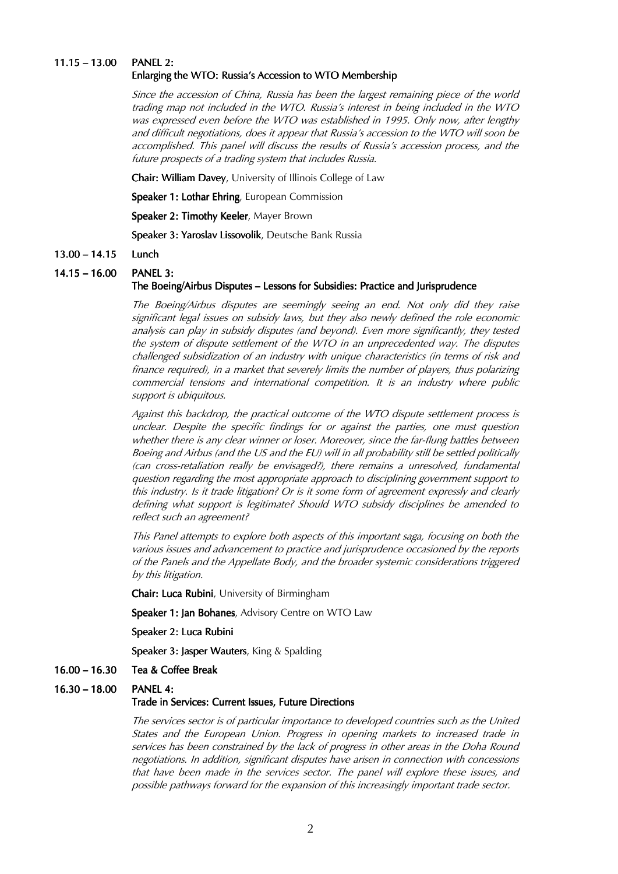### $11.15 - 13.00$ PANEL 2: Enlarging the WTO: Russia's Accession to WTO Membership

Since the accession of China, Russia has been the largest remaining piece of the world trading map not included in the WTO. Russia's interest in being included in the WTO was expressed even before the WTO was established in 1995. Only now, after lengthy and difficult negotiations, does it appear that Russia's accession to the WTO will soon be accomplished. This panel will discuss the results of Russia's accession process, and the future prospects of a trading system that includes Russia.

Chair: William Davey, University of Illinois College of Law

Speaker 1: Lothar Ehring, European Commission

Speaker 2: Timothy Keeler, Mayer Brown

Speaker 3: Yaroslav Lissovolik, Deutsche Bank Russia

### 13.00 – 14.15 Lunch

### $14.15 - 16.00$ PANEL 3:

### The Boeing/Airbus Disputes – Lessons for Subsidies: Practice and Jurisprudence

The Boeing/Airbus disputes are seemingly seeing an end. Not only did they raise significant legal issues on subsidy laws, but they also newly defined the role economic analysis can play in subsidy disputes (and beyond). Even more significantly, they tested the system of dispute settlement of the WTO in an unprecedented way. The disputes challenged subsidization of an industry with unique characteristics (in terms of risk and finance required), in a market that severely limits the number of players, thus polarizing commercial tensions and international competition. It is an industry where public support is ubiquitous.

Against this backdrop, the practical outcome of the WTO dispute settlement process is unclear. Despite the specific findings for or against the parties, one must question whether there is any clear winner or loser. Moreover, since the far-flung battles between Boeing and Airbus (and the US and the EU) will in all probability still be settled politically (can cross-retaliation really be envisaged?), there remains a unresolved, fundamental question regarding the most appropriate approach to disciplining government support to this industry. Is it trade litigation? Or is it some form of agreement expressly and clearly defining what support is legitimate? Should WTO subsidy disciplines be amended to reflect such an agreement?

This Panel attempts to explore both aspects of this important saga, focusing on both the various issues and advancement to practice and jurisprudence occasioned by the reports of the Panels and the Appellate Body, and the broader systemic considerations triggered by this litigation.

Chair: Luca Rubini, University of Birmingham

Speaker 1: Jan Bohanes, Advisory Centre on WTO Law

Speaker 2: Luca Rubini

Speaker 3: Jasper Wauters, King & Spalding

- $16.00 16.30$  Tea & Coffee Break
- $16.30 18.00$ PANEL 4:

### Trade in Services: Current Issues, Future Directions

The services sector is of particular importance to developed countries such as the United States and the European Union. Progress in opening markets to increased trade in services has been constrained by the lack of progress in other areas in the Doha Round negotiations. In addition, significant disputes have arisen in connection with concessions that have been made in the services sector. The panel will explore these issues, and possible pathways forward for the expansion of this increasingly important trade sector.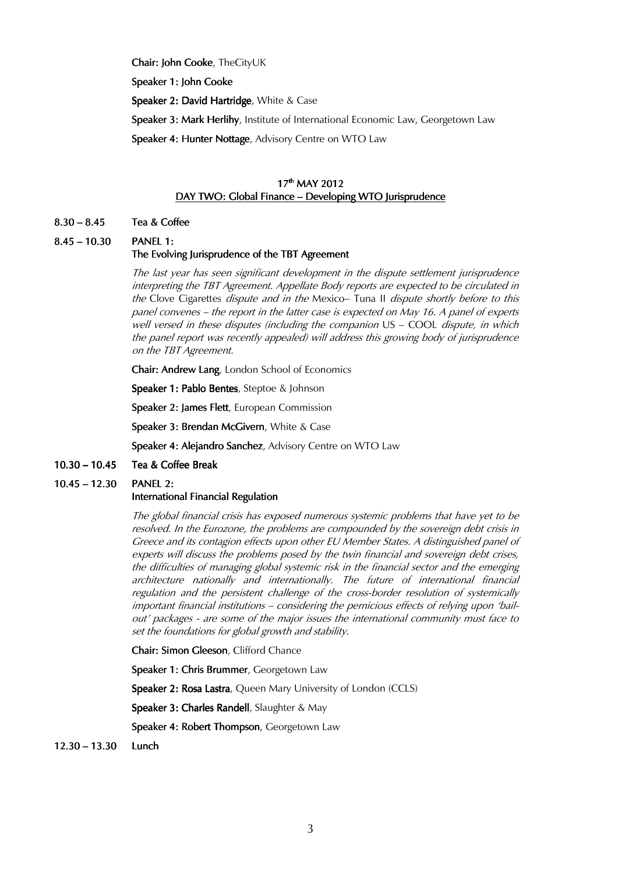Chair: John Cooke, TheCityUK

Speaker 1: John Cooke

Speaker 2: David Hartridge, White & Case

Speaker 3: Mark Herlihy, Institute of International Economic Law, Georgetown Law

Speaker 4: Hunter Nottage, Advisory Centre on WTO Law

# 17<sup>th</sup> MAY 2012 DAY TWO: Global Finance – Developing WTO Jurisprudence

### $8.30 - 8.45$  Tea & Coffee

8.45 – 10.30 PANEL 1:

# The Evolving Jurisprudence of the TBT Agreement

The last year has seen significant development in the dispute settlement jurisprudence interpreting the TBT Agreement. Appellate Body reports are expected to be circulated in the Clove Cigarettes *dispute and in the Mexico*– Tuna II *dispute shortly before to this* panel convenes – the report in the latter case is expected on May 16. A panel of experts well versed in these disputes (including the companion US - COOL dispute, in which the panel report was recently appealed) will address this growing body of jurisprudence on the TBT Agreement.

Chair: Andrew Lang, London School of Economics

Speaker 1: Pablo Bentes, Steptoe & Johnson

Speaker 2: James Flett, European Commission

Speaker 3: Brendan McGivern, White & Case

Speaker 4: Alejandro Sanchez, Advisory Centre on WTO Law

 $10.30 - 10.45$  Tea & Coffee Break

### $10.45 - 12.30$ PANEL 2:

# International Financial Regulation

The global financial crisis has exposed numerous systemic problems that have yet to be resolved. In the Eurozone, the problems are compounded by the sovereign debt crisis in Greece and its contagion effects upon other EU Member States. A distinguished panel of experts will discuss the problems posed by the twin financial and sovereign debt crises, the difficulties of managing global systemic risk in the financial sector and the emerging architecture nationally and internationally. The future of international financial regulation and the persistent challenge of the cross-border resolution of systemically important financial institutions – considering the pernicious effects of relying upon 'bailout' packages - are some of the major issues the international community must face to set the foundations for global growth and stability.

Chair: Simon Gleeson, Clifford Chance

Speaker 1: Chris Brummer, Georgetown Law

Speaker 2: Rosa Lastra, Queen Mary University of London (CCLS)

Speaker 3: Charles Randell, Slaughter & May

Speaker 4: Robert Thompson, Georgetown Law

 $12.30 - 13.30$  Lunch